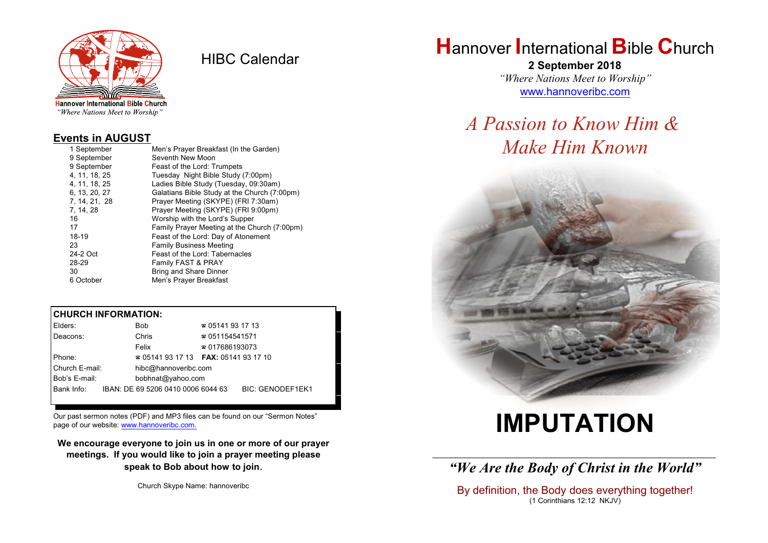

HIBC Calendar

"Where Nations Meet to Worship"

#### **Events in AUGUST**

| 1 September   | Men's Prayer Breakfast (In the Garden)       |
|---------------|----------------------------------------------|
| 9 September   | Seventh New Moon                             |
| 9 September   | Feast of the Lord: Trumpets                  |
| 4, 11, 18, 25 | Tuesday Night Bible Study (7:00pm)           |
| 4. 11. 18. 25 | Ladies Bible Study (Tuesday, 09:30am)        |
| 6, 13, 20, 27 | Galatians Bible Study at the Church (7:00pm) |
| 7, 14, 21, 28 | Prayer Meeting (SKYPE) (FRI 7:30am)          |
| 7, 14, 28     | Prayer Meeting (SKYPE) (FRI 9:00pm)          |
| 16            | Worship with the Lord's Supper               |
| 17            | Family Prayer Meeting at the Church (7:00pm) |
| 18-19         | Feast of the Lord: Day of Atonement          |
| 23            | <b>Family Business Meeting</b>               |
| 24-2 Oct      | Feast of the Lord: Tabernacles               |
| 28-29         | Family FAST & PRAY                           |
| 30            | <b>Bring and Share Dinner</b>                |
| 6 October     | Men's Prayer Breakfast                       |

#### **CHURCH INFORMATION:**

| Elders:        | Bob                                      | $\approx 05141931713$  |                         |
|----------------|------------------------------------------|------------------------|-------------------------|
| Deacons:       | Chris                                    | $\approx 051154541571$ |                         |
|                | Felix                                    | $\approx 017686193073$ |                         |
| Phone:         | $\approx 05141931713$ FAX: 0514193 17 10 |                        |                         |
| Church E-mail: | hibc@hannoveribc.com                     |                        |                         |
| Bob's E-mail:  | bobhnat@yahoo.com                        |                        |                         |
| Bank Info:     | IBAN: DE 69 5206 0410 0006 6044 63       |                        | <b>BIC: GENODEF1EK1</b> |

Our past sermon notes (PDF) and MP3 files can be found on our "Sermon Notes" page of our website: [www.hannoveribc.com.](http://www.hannoveribc.com.)

**We encourage everyone to join us in one or more of our prayer meetings. If you would like to join a prayer meeting please speak to Bob about how to join**.

Church Skype Name: hannoveribc

# **H**annover **I**nternational **B**ible **C**hurch

**2 September 2018** *"Where Nations Meet to Worship"* [www.hannoveribc.com](http://www.hannoveribc.com)

# *A Passion to Know Him & Make Him Known*



# **IMPUTATION**

\_\_\_\_\_\_\_\_\_\_\_\_\_\_\_\_\_\_\_\_\_\_\_\_\_\_\_\_\_\_\_\_\_\_\_\_\_\_\_\_\_\_\_\_\_\_\_\_\_\_\_\_\_\_\_\_\_\_\_\_\_\_ *"We Are the Body of Christ in the World"*

By definition, the Body does everything together! (1 Corinthians 12:12 NKJV)